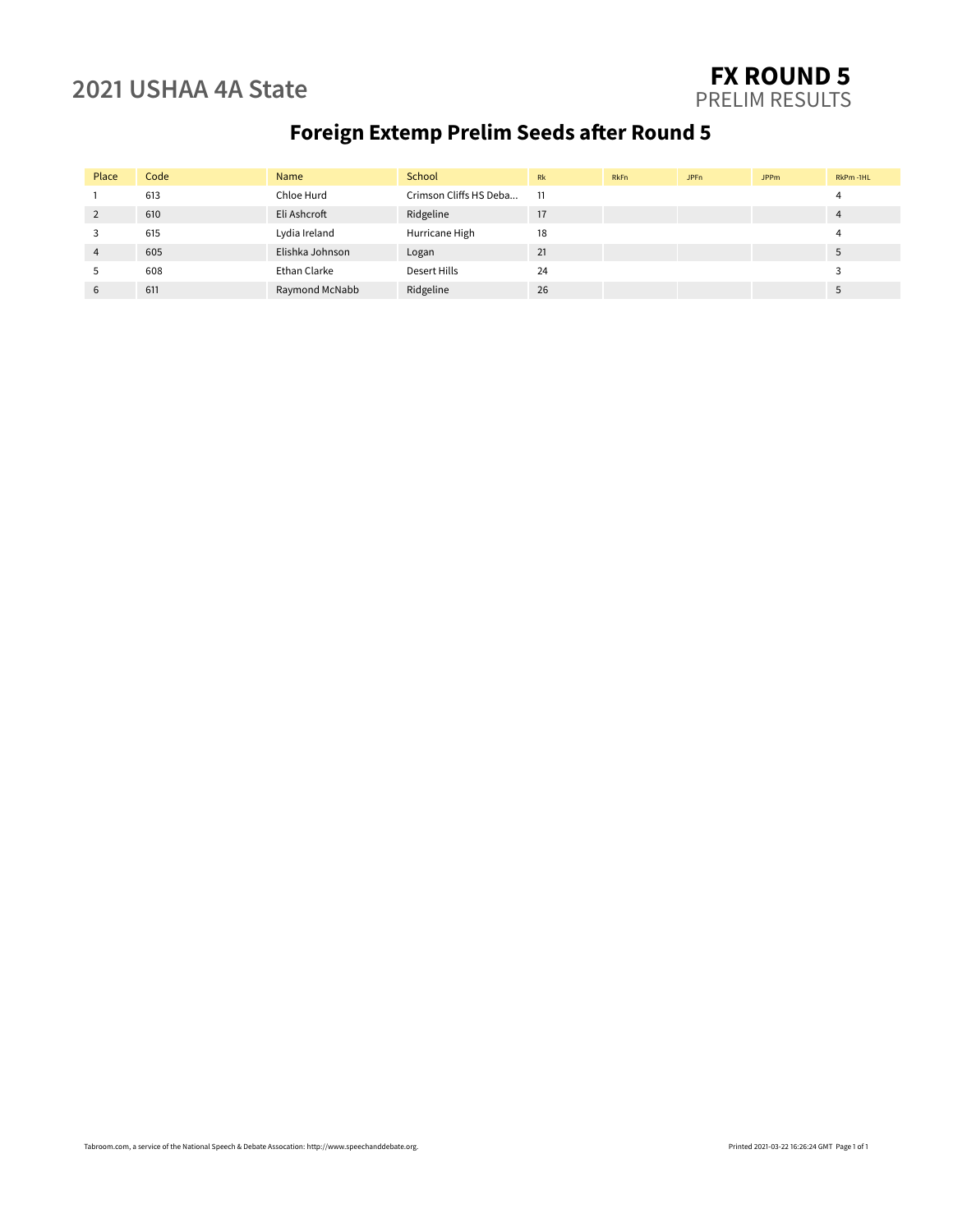### **2021 USHAA 4A State FX ROUND 5** PRELIM RESULTS

# **Foreign Extemp Prelim Seeds after Round 5**

| Place          | Code | Name            | School                 | Rk | <b>RkFn</b> | JPFn | <b>JPPm</b> | RkPm-1HL |
|----------------|------|-----------------|------------------------|----|-------------|------|-------------|----------|
|                | 613  | Chloe Hurd      | Crimson Cliffs HS Deba | 11 |             |      |             |          |
| 2              | 610  | Eli Ashcroft    | Ridgeline              | 17 |             |      |             |          |
| 3              | 615  | Lydia Ireland   | Hurricane High         | 18 |             |      |             |          |
| $\overline{4}$ | 605  | Elishka Johnson | Logan                  | 21 |             |      |             |          |
| 5              | 608  | Ethan Clarke    | Desert Hills           | 24 |             |      |             |          |
| 6              | 611  | Raymond McNabb  | Ridgeline              | 26 |             |      |             |          |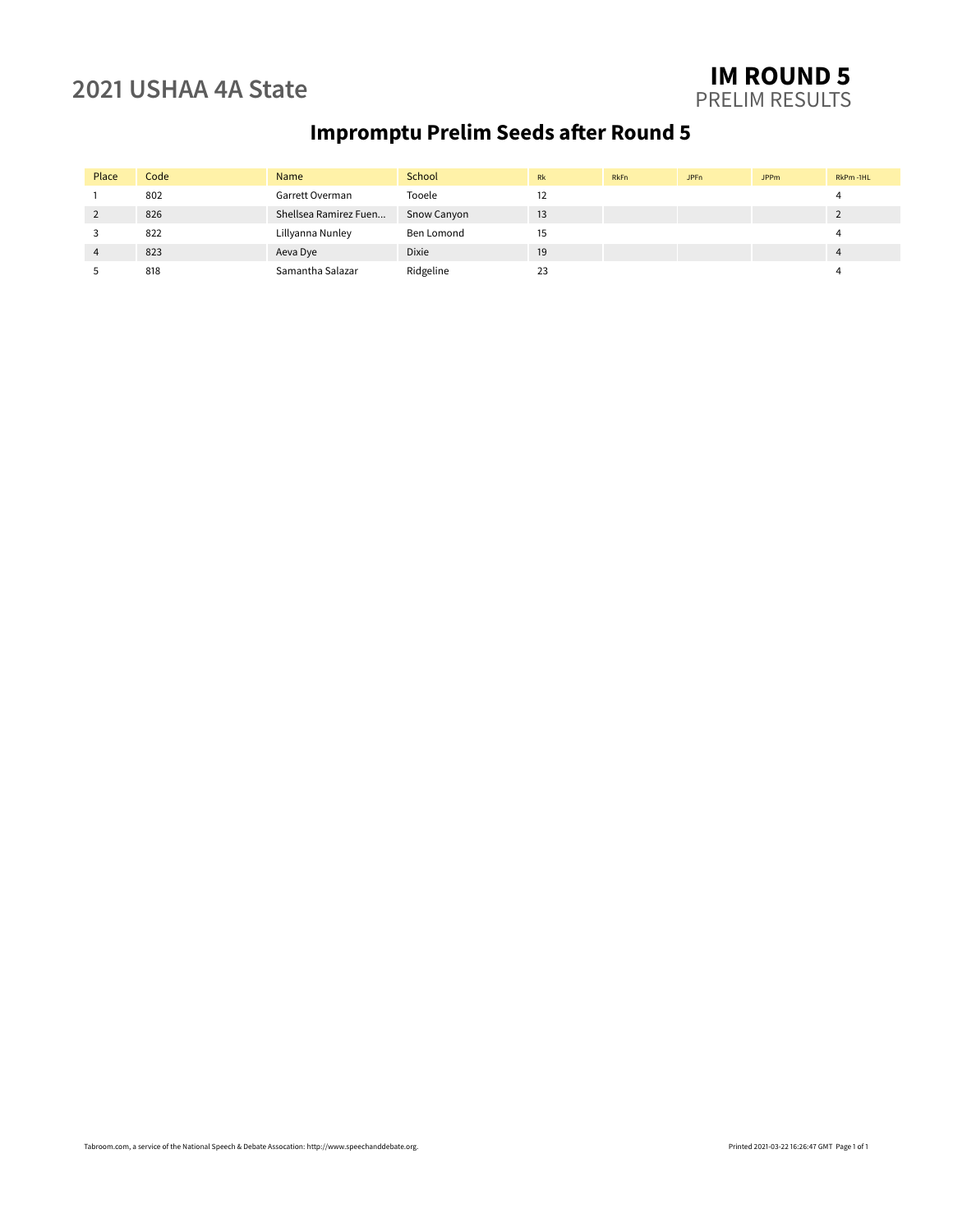### **2021 USHAA 4A State IM ROUND 5** PRELIM RESULTS

# **Impromptu Prelim Seeds after Round 5**

| Place | Code | Name                  | School       | Rk | <b>RkFn</b> | <b>JPFn</b> | <b>JPPm</b> | RkPm-1HL |
|-------|------|-----------------------|--------------|----|-------------|-------------|-------------|----------|
|       | 802  | Garrett Overman       | Tooele       | 12 |             |             |             |          |
|       | 826  | Shellsea Ramirez Fuen | Snow Canyon  | 13 |             |             |             |          |
|       | 822  | Lillyanna Nunley      | Ben Lomond   | 15 |             |             |             |          |
|       | 823  | Aeva Dye              | <b>Dixie</b> | 19 |             |             |             |          |
|       | 818  | Samantha Salazar      | Ridgeline    | 23 |             |             |             |          |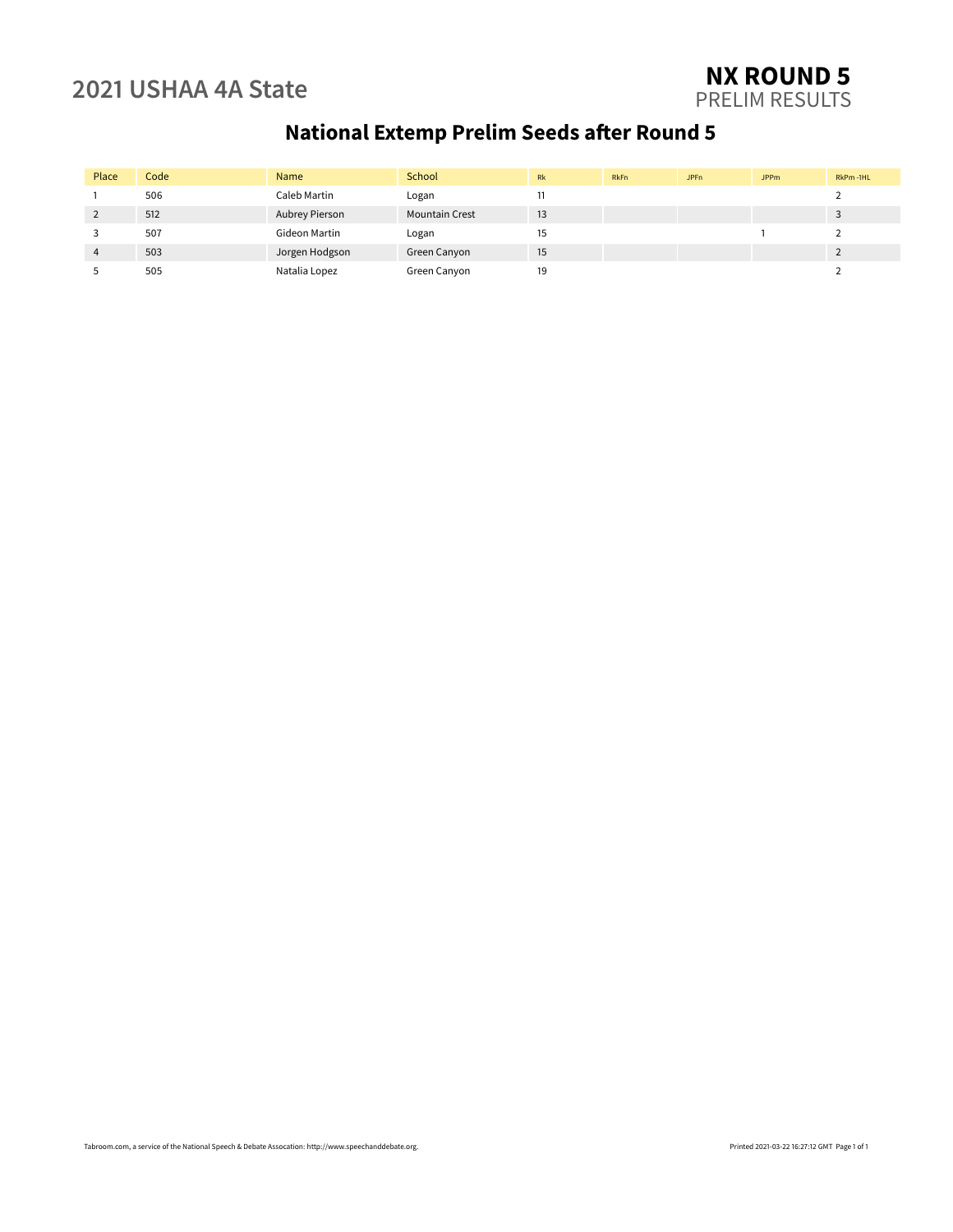### **2021 USHAA 4A State NX ROUND 5** PRELIM RESULTS

# **National Extemp Prelim Seeds after Round 5**

| Place | Code | Name           | School                | Rk | RkFn | JPF <sub>n</sub> | <b>JPPm</b> | RkPm-1HL |
|-------|------|----------------|-----------------------|----|------|------------------|-------------|----------|
|       | 506  | Caleb Martin   | Logan                 |    |      |                  |             |          |
|       | 512  | Aubrey Pierson | <b>Mountain Crest</b> | 13 |      |                  |             |          |
|       | 507  | Gideon Martin  | Logan                 | 15 |      |                  |             |          |
| 4     | 503  | Jorgen Hodgson | Green Canyon          | 15 |      |                  |             |          |
|       | 505  | Natalia Lopez  | Green Canyon          | 19 |      |                  |             |          |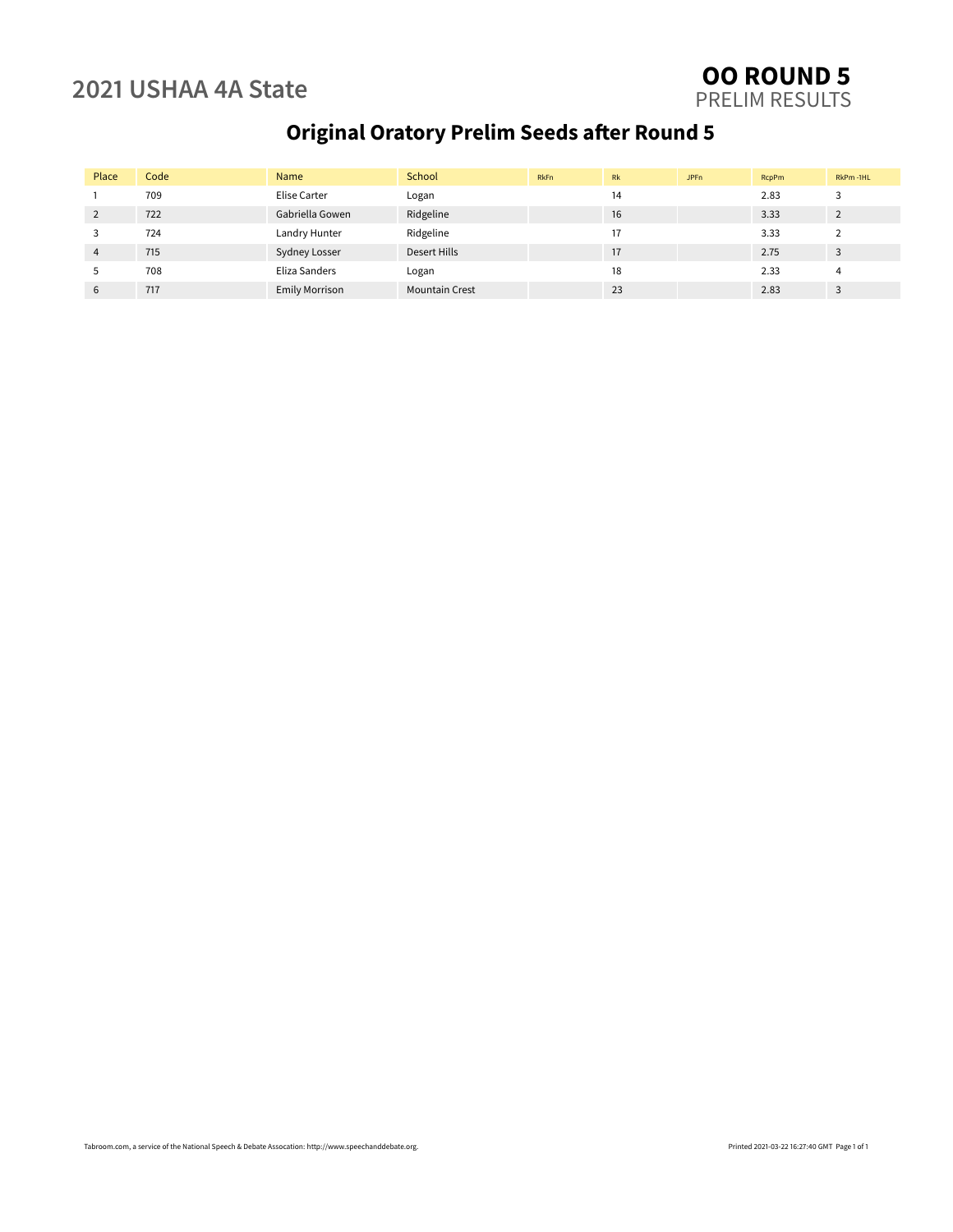### **2021 USHAA 4A State OO ROUND 5** PRELIM RESULTS

# **Original Oratory Prelim Seeds after Round 5**

| Place          | Code | Name                  | School                | <b>RkFn</b> | <b>Rk</b> | JPF <sub>n</sub> | <b>RcpPm</b> | RkPm-1HL |
|----------------|------|-----------------------|-----------------------|-------------|-----------|------------------|--------------|----------|
|                | 709  | Elise Carter          | Logan                 |             | 14        |                  | 2.83         |          |
| 2              | 722  | Gabriella Gowen       | Ridgeline             |             | 16        |                  | 3.33         |          |
| 3              | 724  | Landry Hunter         | Ridgeline             |             | 17        |                  | 3.33         |          |
| $\overline{4}$ | 715  | <b>Sydney Losser</b>  | Desert Hills          |             | 17        |                  | 2.75         | 3        |
| 5              | 708  | Eliza Sanders         | Logan                 |             | 18        |                  | 2.33         |          |
| 6              | 717  | <b>Emily Morrison</b> | <b>Mountain Crest</b> |             | 23        |                  | 2.83         | 3        |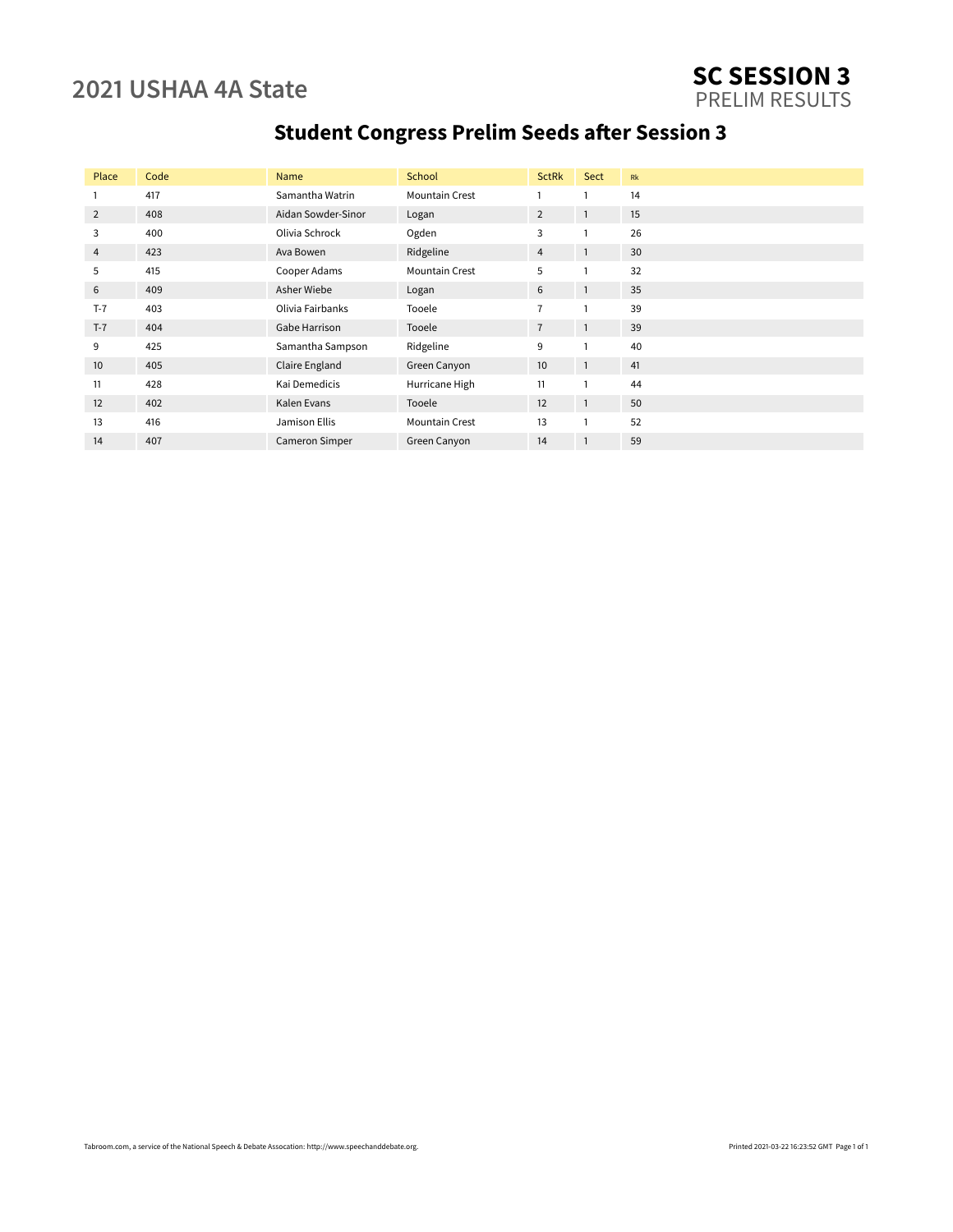### **2021 USHAA 4A State SC SESSION 3** PRELIM RESULTS

# **Student Congress Prelim Seeds after Session 3**

| Place | Code | Name               | School                | <b>SctRk</b>   | Sect           | <b>Rk</b> |
|-------|------|--------------------|-----------------------|----------------|----------------|-----------|
| 1     | 417  | Samantha Watrin    | <b>Mountain Crest</b> |                |                | 14        |
| 2     | 408  | Aidan Sowder-Sinor | Logan                 | 2              | $\overline{1}$ | 15        |
| 3     | 400  | Olivia Schrock     | Ogden                 | 3              |                | 26        |
| 4     | 423  | Ava Bowen          | Ridgeline             | $\overline{4}$ | 1              | 30        |
| 5     | 415  | Cooper Adams       | <b>Mountain Crest</b> | 5              |                | 32        |
| 6     | 409  | Asher Wiebe        | Logan                 | 6              | $\mathbf{1}$   | 35        |
| $T-7$ | 403  | Olivia Fairbanks   | Tooele                | $\overline{7}$ |                | 39        |
| $T-7$ | 404  | Gabe Harrison      | Tooele                | $\overline{7}$ | $\overline{1}$ | 39        |
| 9     | 425  | Samantha Sampson   | Ridgeline             | 9              |                | 40        |
| 10    | 405  | Claire England     | Green Canyon          | 10             | $\overline{1}$ | 41        |
| 11    | 428  | Kai Demedicis      | Hurricane High        | 11             |                | 44        |
| 12    | 402  | Kalen Evans        | Tooele                | 12             | $\mathbf{1}$   | 50        |
| 13    | 416  | Jamison Ellis      | <b>Mountain Crest</b> | 13             |                | 52        |
| 14    | 407  | Cameron Simper     | Green Canyon          | 14             | $\mathbf{1}$   | 59        |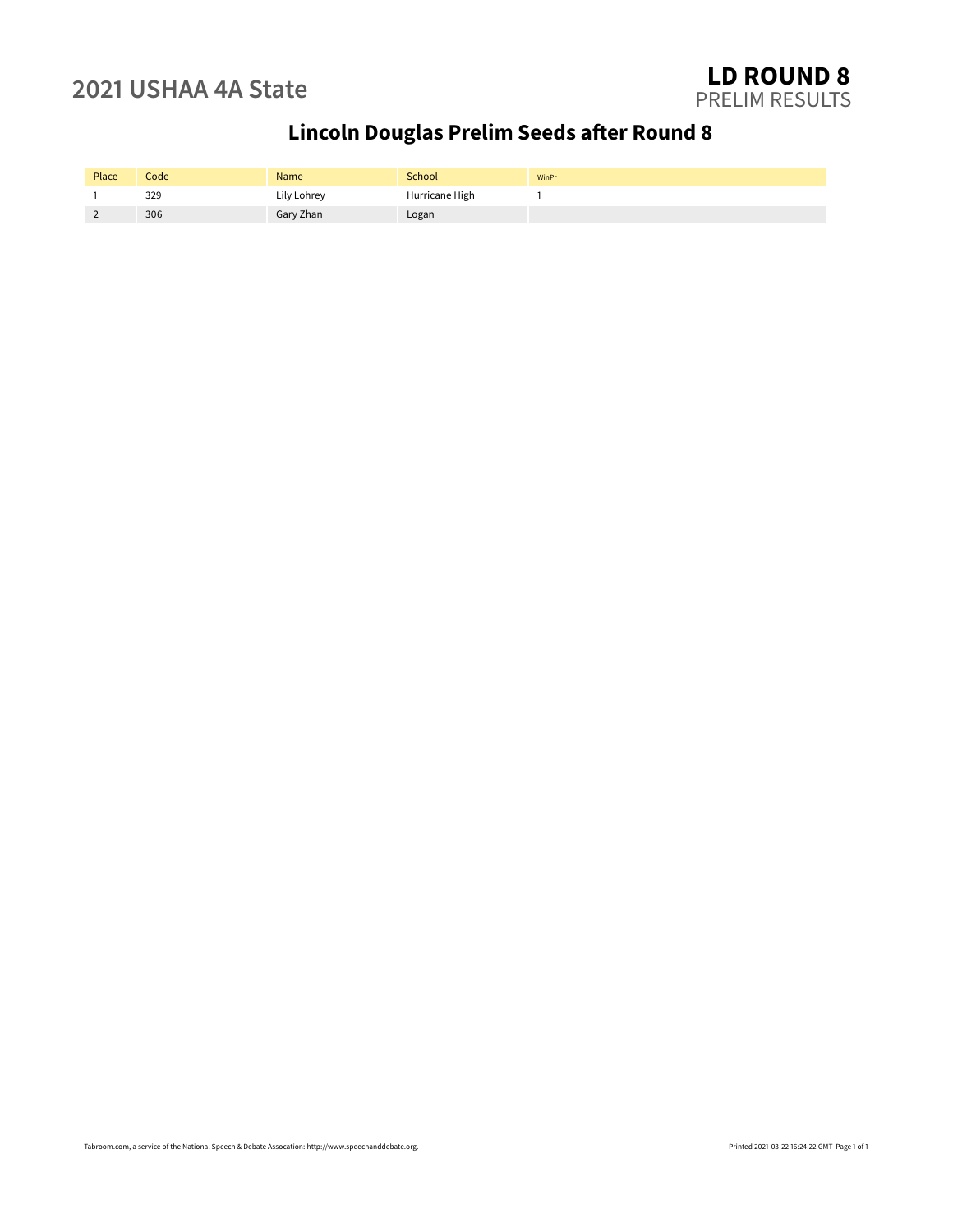# **Lincoln Douglas Prelim Seeds after Round 8**

| Place | Code | Name        | School         | WinPr |
|-------|------|-------------|----------------|-------|
|       | 329  | Lily Lohrey | Hurricane High |       |
| -     | 306  | Gary Zhan   | Logan          |       |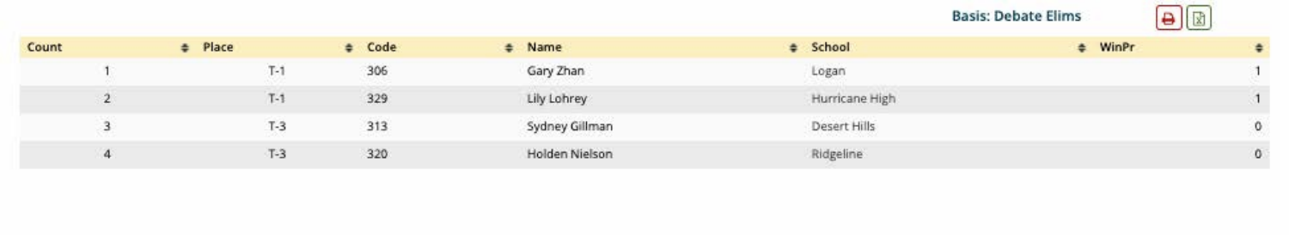



| Count | # Place |                 | # Code | # Name         | # School       | # WinPr |            |
|-------|---------|-----------------|--------|----------------|----------------|---------|------------|
|       |         | $\vert - \vert$ | 306    | Gary Zhan      | Logan          |         |            |
|       |         | $T-1$           | 329    | Lily Lohrey    | Hurricane High |         |            |
|       |         | $T-3$           | 313    | Sydney Gillman | Desert Hills   |         | $\circ$    |
|       |         | $T-3$           | 320    | Holden Nielson | Ridgeline      |         | $^{\circ}$ |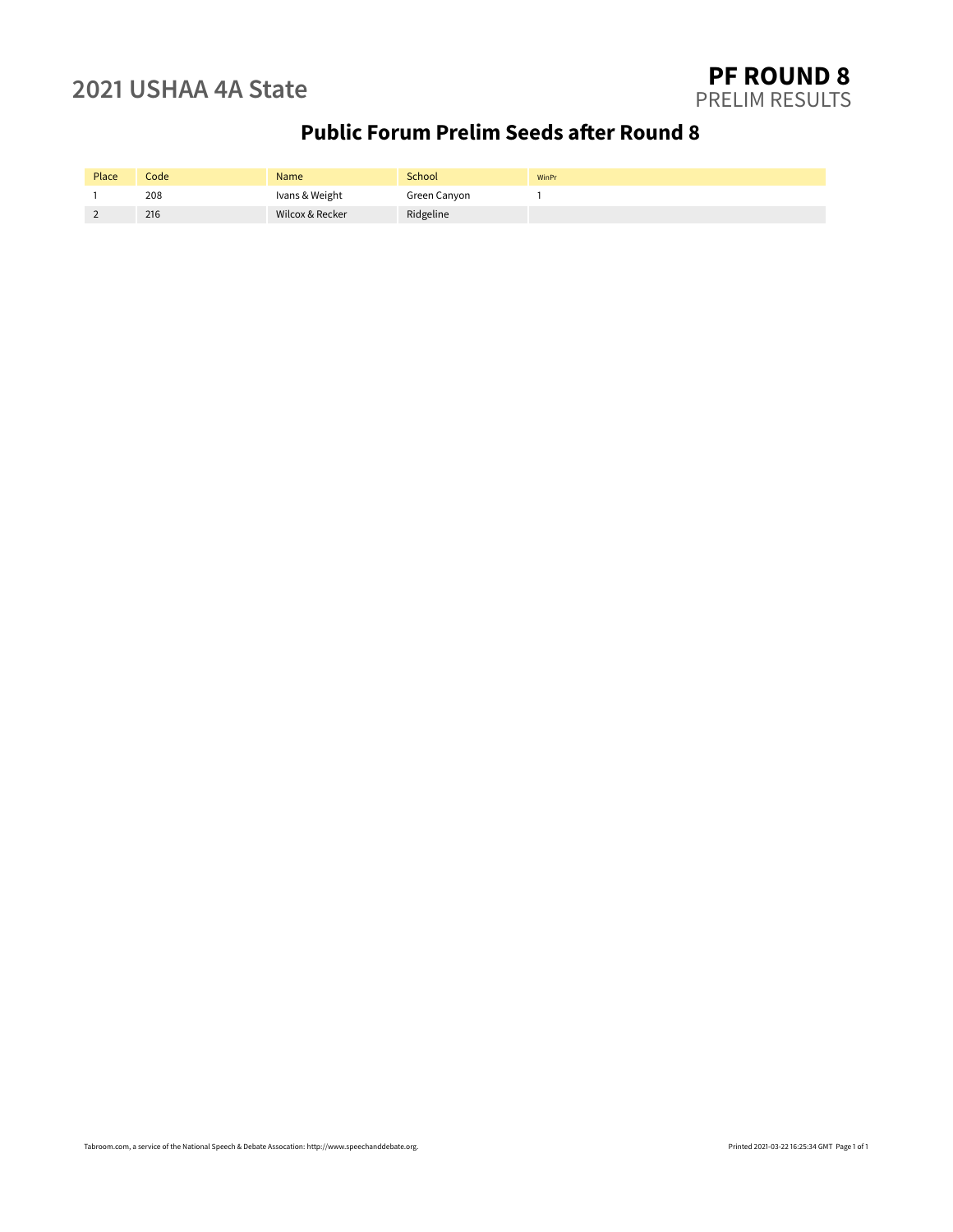## **Public Forum Prelim Seeds after Round 8**

| Place | Codel | Name            | School       | WinPr |
|-------|-------|-----------------|--------------|-------|
|       | 208   | Ivans & Weight  | Green Canyon |       |
|       | 216   | Wilcox & Recker | Ridgeline    |       |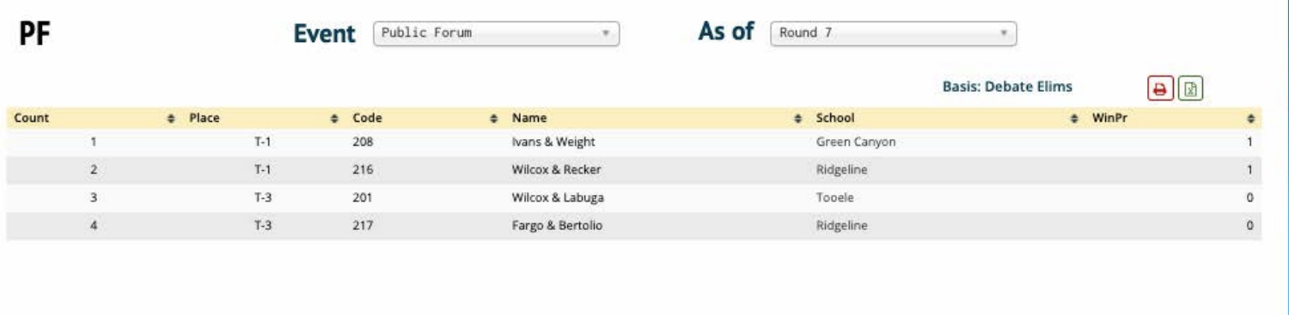





## **Basis: Debate Elims**



| Count  | # Place | $\div$ Code | # Name           | # School     | $#$ WinPr |            |
|--------|---------|-------------|------------------|--------------|-----------|------------|
|        | T-1     | 208         | Ivans & Weight   | Green Canyon |           |            |
| $\sim$ |         | 216         | Wilcox & Recker  | Ridgeline    |           |            |
|        | $T-3$   | 201         | Wilcox & Labuga  | Tooele       |           | 0          |
|        | $T-3$   | 217         | Fargo & Bertolio | Ridgeline    |           | $^{\circ}$ |